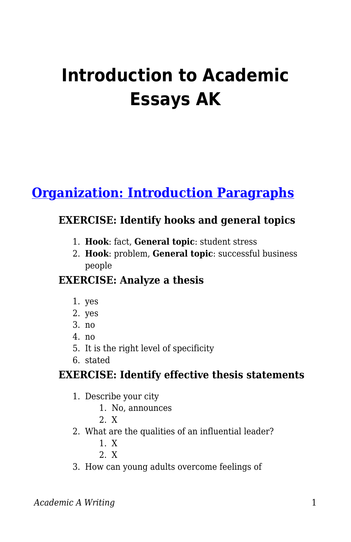# **Introduction to Academic Essays AK**

# **[Organization: Introduction Paragraphs](https://edtechbooks.org/academic_a_writing/introduction_paragra)**

### **EXERCISE: Identify hooks and general topics**

- 1. **Hook**: fact, **General topic**: student stress
- 2. **Hook**: problem, **General topic**: successful business people

#### **EXERCISE: Analyze a thesis**

- 1. yes
- 2. yes
- 3. no
- 4. no
- 5. It is the right level of specificity
- 6. stated

## **EXERCISE: Identify effective thesis statements**

- 1. Describe your city
	- 1. No, announces
	- 2. X
- 2. What are the qualities of an influential leader?
	- 1. X
	- 2. X
- 3. How can young adults overcome feelings of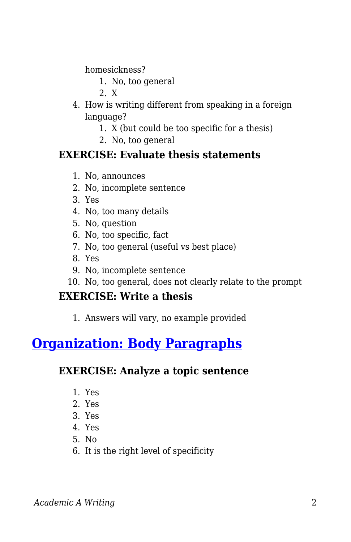homesickness?

- 1. No, too general
- 2. X
- 4. How is writing different from speaking in a foreign language?
	- 1. X (but could be too specific for a thesis)
	- 2. No, too general

#### **EXERCISE: Evaluate thesis statements**

- 1. No, announces
- 2. No, incomplete sentence
- 3. Yes
- 4. No, too many details
- 5. No, question
- 6. No, too specific, fact
- 7. No, too general (useful vs best place)
- 8. Yes
- 9. No, incomplete sentence
- 10. No, too general, does not clearly relate to the prompt

#### **EXERCISE: Write a thesis**

1. Answers will vary, no example provided

## **[Organization: Body Paragraphs](https://edtechbooks.org/academic_a_writing/body_paragraphs)**

#### **EXERCISE: Analyze a topic sentence**

- 1. Yes
- 2. Yes
- 3. Yes
- 4. Yes
- 5. No
- 6. It is the right level of specificity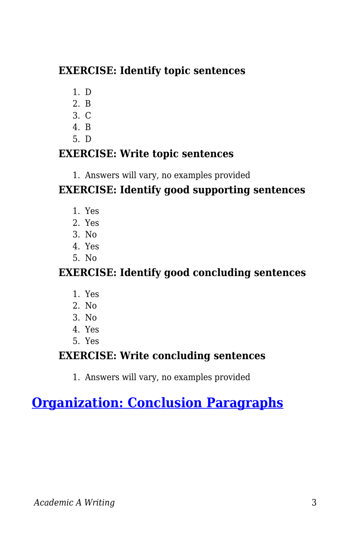## **EXERCISE: Identify topic sentences**

- 1. D
- 2. B
- 3. C
- 4. B
- 5. D

## **EXERCISE: Write topic sentences**

1. Answers will vary, no examples provided

## **EXERCISE: Identify good supporting sentences**

- 1. Yes
- 2. Yes
- 3. No
- 4. Yes
- 5. No

## **EXERCISE: Identify good concluding sentences**

- 1. Yes
- 2. No
- 3. No
- 4. Yes
- 5. Yes

## **EXERCISE: Write concluding sentences**

1. Answers will vary, no examples provided

# **[Organization: Conclusion Paragraphs](https://edtechbooks.org/academic_a_writing/conclusion_paragraph)**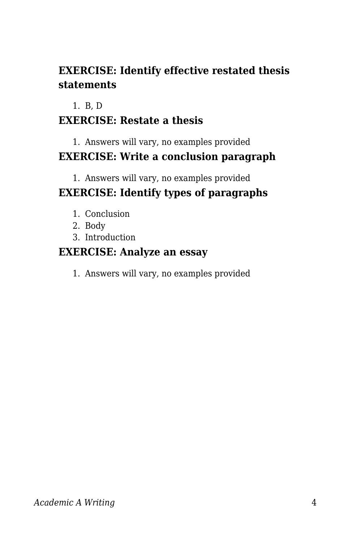## **EXERCISE: Identify effective restated thesis statements**

#### 1. B, D

## **EXERCISE: Restate a thesis**

## 1. Answers will vary, no examples provided **EXERCISE: Write a conclusion paragraph**

# 1. Answers will vary, no examples provided

## **EXERCISE: Identify types of paragraphs**

- 1. Conclusion
- 2. Body
- 3. Introduction

## **EXERCISE: Analyze an essay**

1. Answers will vary, no examples provided